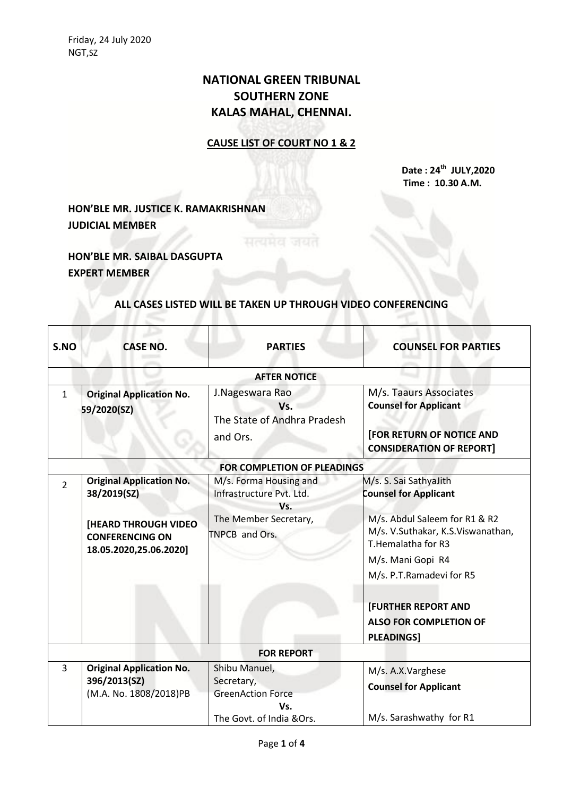## **NATIONAL GREEN TRIBUNAL SOUTHERN ZONE KALAS MAHAL, CHENNAI.**

## **CAUSE LIST OF COURT NO 1 & 2**

**Date : 24th JULY,2020 Time : 10.30 A.M.**

**HON'BLE MR. JUSTICE K. RAMAKRISHNAN JUDICIAL MEMBER**

**HON'BLE MR. SAIBAL DASGUPTA EXPERT MEMBER**

## **ALL CASES LISTED WILL BE TAKEN UP THROUGH VIDEO CONFERENCING**

| S.NO                               | <b>CASE NO.</b>                                                                                                                    | <b>PARTIES</b>                                                                                                   | <b>COUNSEL FOR PARTIES</b>                                                                                                                                                                                                                                          |  |  |  |  |  |
|------------------------------------|------------------------------------------------------------------------------------------------------------------------------------|------------------------------------------------------------------------------------------------------------------|---------------------------------------------------------------------------------------------------------------------------------------------------------------------------------------------------------------------------------------------------------------------|--|--|--|--|--|
| <b>AFTER NOTICE</b>                |                                                                                                                                    |                                                                                                                  |                                                                                                                                                                                                                                                                     |  |  |  |  |  |
| $\mathbf{1}$                       | <b>Original Application No.</b><br>59/2020(SZ)                                                                                     | J.Nageswara Rao<br>Vs.<br>The State of Andhra Pradesh<br>and Ors.                                                | M/s. Taaurs Associates<br><b>Counsel for Applicant</b><br><b>[FOR RETURN OF NOTICE AND</b><br><b>CONSIDERATION OF REPORT]</b>                                                                                                                                       |  |  |  |  |  |
| <b>FOR COMPLETION OF PLEADINGS</b> |                                                                                                                                    |                                                                                                                  |                                                                                                                                                                                                                                                                     |  |  |  |  |  |
| $\overline{2}$                     | <b>Original Application No.</b><br>38/2019(SZ)<br><b>[HEARD THROUGH VIDEO]</b><br><b>CONFERENCING ON</b><br>18.05.2020,25.06.2020] | M/s. Forma Housing and<br>Infrastructure Pvt. Ltd.<br>Vs.<br>The Member Secretary,<br>TNPCB and Ors.             | M/s. S. Sai SathyaJith<br><b>Counsel for Applicant</b><br>M/s. Abdul Saleem for R1 & R2<br>M/s. V.Suthakar, K.S.Viswanathan,<br>T. Hemalatha for R3<br>M/s. Mani Gopi R4<br>M/s. P.T.Ramadevi for R5<br><b>[FURTHER REPORT AND</b><br><b>ALSO FOR COMPLETION OF</b> |  |  |  |  |  |
| <b>PLEADINGS]</b>                  |                                                                                                                                    |                                                                                                                  |                                                                                                                                                                                                                                                                     |  |  |  |  |  |
| 3                                  | <b>Original Application No.</b><br>396/2013(SZ)<br>(M.A. No. 1808/2018)PB                                                          | <b>FOR REPORT</b><br>Shibu Manuel,<br>Secretary,<br><b>GreenAction Force</b><br>Vs.<br>The Govt. of India & Ors. | M/s. A.X. Varghese<br><b>Counsel for Applicant</b><br>M/s. Sarashwathy for R1                                                                                                                                                                                       |  |  |  |  |  |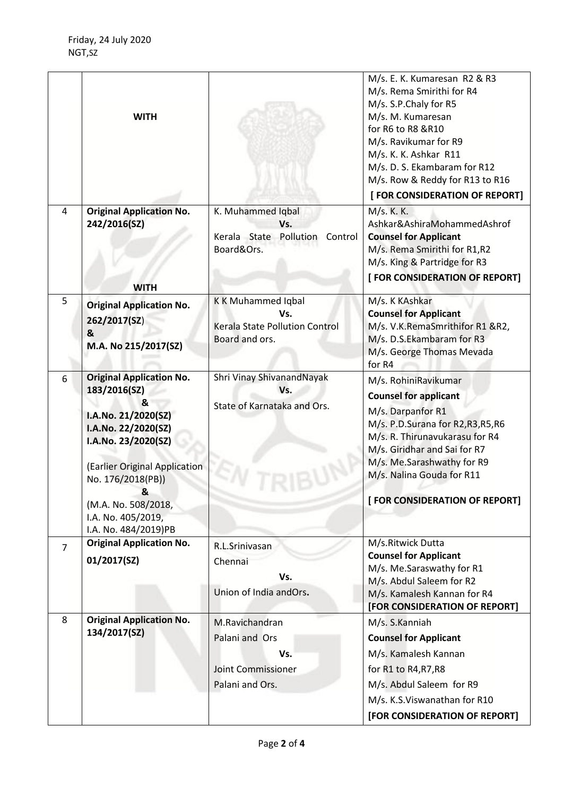|                | <b>WITH</b>                                                                                                                                                                                                                                               |                                                                                     | M/s. E. K. Kumaresan R2 & R3<br>M/s. Rema Smirithi for R4<br>M/s. S.P.Chaly for R5<br>M/s. M. Kumaresan<br>for R6 to R8 &R10<br>M/s. Ravikumar for R9<br>M/s. K. K. Ashkar R11<br>M/s. D. S. Ekambaram for R12<br>M/s. Row & Reddy for R13 to R16<br>[FOR CONSIDERATION OF REPORT] |
|----------------|-----------------------------------------------------------------------------------------------------------------------------------------------------------------------------------------------------------------------------------------------------------|-------------------------------------------------------------------------------------|------------------------------------------------------------------------------------------------------------------------------------------------------------------------------------------------------------------------------------------------------------------------------------|
| 4              | <b>Original Application No.</b><br>242/2016(SZ)<br><b>WITH</b>                                                                                                                                                                                            | K. Muhammed Iqbal<br>Vs.<br>Kerala State Pollution<br>Control<br>Board&Ors.         | M/s. K. K.<br>Ashkar&AshiraMohammedAshrof<br><b>Counsel for Applicant</b><br>M/s. Rema Smirithi for R1,R2<br>M/s. King & Partridge for R3<br>[ FOR CONSIDERATION OF REPORT]                                                                                                        |
| 5              | <b>Original Application No.</b><br>262/2017(SZ)<br>&<br>M.A. No 215/2017(SZ)                                                                                                                                                                              | <b>KK Muhammed Iqbal</b><br>Vs.<br>Kerala State Pollution Control<br>Board and ors. | M/s. K KAshkar<br><b>Counsel for Applicant</b><br>M/s. V.K.RemaSmrithifor R1 &R2,<br>M/s. D.S.Ekambaram for R3<br>M/s. George Thomas Mevada<br>for R4                                                                                                                              |
| 6              | <b>Original Application No.</b><br>183/2016(SZ)<br>&<br>I.A.No. 21/2020(SZ)<br>I.A.No. 22/2020(SZ)<br>I.A.No. 23/2020(SZ)<br>(Earlier Original Application<br>No. 176/2018(PB))<br>&<br>(M.A. No. 508/2018,<br>I.A. No. 405/2019,<br>I.A. No. 484/2019)PB | Shri Vinay ShivanandNayak<br>Vs.<br>State of Karnataka and Ors.                     | M/s. RohiniRavikumar<br><b>Counsel for applicant</b><br>M/s. Darpanfor R1<br>M/s. P.D.Surana for R2,R3,R5,R6<br>M/s. R. Thirunavukarasu for R4<br>M/s. Giridhar and Sai for R7<br>M/s. Me.Sarashwathy for R9<br>M/s. Nalina Gouda for R11<br>[FOR CONSIDERATION OF REPORT]         |
| $\overline{7}$ | <b>Original Application No.</b><br>01/2017(SZ)                                                                                                                                                                                                            | R.L.Srinivasan<br>Chennai<br>Vs.<br>Union of India andOrs.                          | M/s.Ritwick Dutta<br><b>Counsel for Applicant</b><br>M/s. Me.Saraswathy for R1<br>M/s. Abdul Saleem for R2<br>M/s. Kamalesh Kannan for R4<br>[FOR CONSIDERATION OF REPORT]                                                                                                         |
| 8              | <b>Original Application No.</b><br>134/2017(SZ)                                                                                                                                                                                                           | M.Ravichandran<br>Palani and Ors<br>Vs.<br>Joint Commissioner<br>Palani and Ors.    | M/s. S.Kanniah<br><b>Counsel for Applicant</b><br>M/s. Kamalesh Kannan<br>for R1 to R4, R7, R8<br>M/s. Abdul Saleem for R9<br>M/s. K.S.Viswanathan for R10<br>[FOR CONSIDERATION OF REPORT]                                                                                        |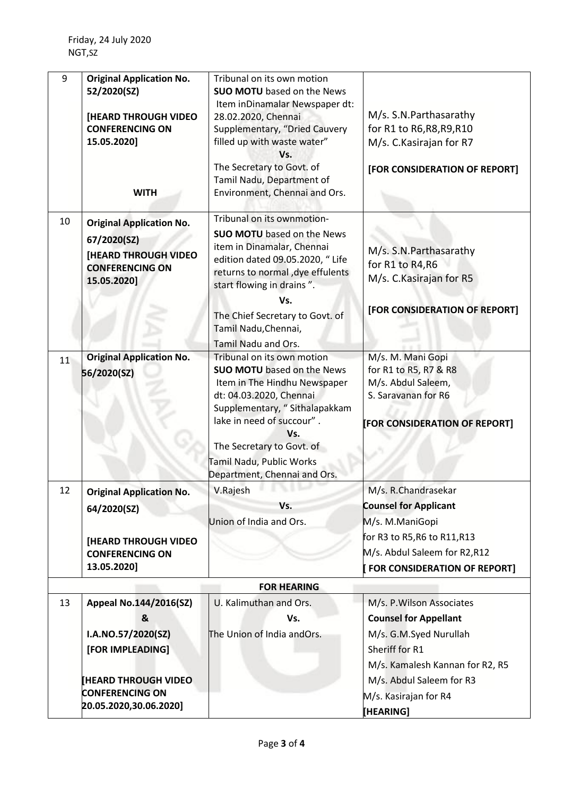| 9  | <b>Original Application No.</b><br>52/2020(SZ)<br><b>[HEARD THROUGH VIDEO</b><br><b>CONFERENCING ON</b><br>15.05.2020] | Tribunal on its own motion<br><b>SUO MOTU</b> based on the News<br>Item inDinamalar Newspaper dt:<br>28.02.2020, Chennai<br>Supplementary, "Dried Cauvery<br>filled up with waste water"                                                                                                     | M/s. S.N. Parthasarathy<br>for R1 to R6, R8, R9, R10<br>M/s. C. Kasirajan for R7                                         |
|----|------------------------------------------------------------------------------------------------------------------------|----------------------------------------------------------------------------------------------------------------------------------------------------------------------------------------------------------------------------------------------------------------------------------------------|--------------------------------------------------------------------------------------------------------------------------|
|    | <b>WITH</b>                                                                                                            | Vs.<br>The Secretary to Govt. of<br>Tamil Nadu, Department of<br>Environment, Chennai and Ors.                                                                                                                                                                                               | [FOR CONSIDERATION OF REPORT]                                                                                            |
| 10 | <b>Original Application No.</b><br>67/2020(SZ)<br><b>[HEARD THROUGH VIDEO</b><br><b>CONFERENCING ON</b><br>15.05.2020] | Tribunal on its ownmotion-<br><b>SUO MOTU</b> based on the News<br>item in Dinamalar, Chennai<br>edition dated 09.05.2020, " Life<br>returns to normal , dye effulents<br>start flowing in drains".<br>Vs.<br>The Chief Secretary to Govt. of<br>Tamil Nadu, Chennai,<br>Tamil Nadu and Ors. | M/s. S.N. Parthasarathy<br>for R1 to R4, R6<br>M/s. C. Kasirajan for R5<br>[FOR CONSIDERATION OF REPORT]                 |
| 11 | <b>Original Application No.</b><br>56/2020(SZ)                                                                         | Tribunal on its own motion<br><b>SUO MOTU</b> based on the News<br>Item in The Hindhu Newspaper<br>dt: 04.03.2020, Chennai<br>Supplementary, "Sithalapakkam<br>lake in need of succour".<br>Vs.<br>The Secretary to Govt. of<br>Tamil Nadu, Public Works<br>Department, Chennai and Ors.     | M/s. M. Mani Gopi<br>for R1 to R5, R7 & R8<br>M/s. Abdul Saleem,<br>S. Saravanan for R6<br>[FOR CONSIDERATION OF REPORT] |
| 12 | <b>Original Application No.</b><br>64/2020(SZ)<br><b>[HEARD THROUGH VIDEO</b>                                          | V.Rajesh<br>Vs.<br>Union of India and Ors.                                                                                                                                                                                                                                                   | M/s. R.Chandrasekar<br><b>Counsel for Applicant</b><br>M/s. M.ManiGopi<br>for R3 to R5, R6 to R11, R13                   |
|    | <b>CONFERENCING ON</b><br>13.05.2020]                                                                                  |                                                                                                                                                                                                                                                                                              | M/s. Abdul Saleem for R2, R12<br>[ FOR CONSIDERATION OF REPORT]                                                          |
|    |                                                                                                                        | <b>FOR HEARING</b>                                                                                                                                                                                                                                                                           |                                                                                                                          |
| 13 | Appeal No.144/2016(SZ)                                                                                                 | U. Kalimuthan and Ors.                                                                                                                                                                                                                                                                       | M/s. P. Wilson Associates                                                                                                |
|    | &                                                                                                                      | Vs.                                                                                                                                                                                                                                                                                          | <b>Counsel for Appellant</b>                                                                                             |
|    | I.A.NO.57/2020(SZ)                                                                                                     | The Union of India andOrs.                                                                                                                                                                                                                                                                   | M/s. G.M.Syed Nurullah                                                                                                   |
|    | [FOR IMPLEADING]                                                                                                       |                                                                                                                                                                                                                                                                                              | Sheriff for R1                                                                                                           |
|    |                                                                                                                        |                                                                                                                                                                                                                                                                                              | M/s. Kamalesh Kannan for R2, R5                                                                                          |
|    | <b>[HEARD THROUGH VIDEO</b>                                                                                            |                                                                                                                                                                                                                                                                                              | M/s. Abdul Saleem for R3                                                                                                 |
|    | <b>CONFERENCING ON</b><br>20.05.2020,30.06.2020]                                                                       |                                                                                                                                                                                                                                                                                              | M/s. Kasirajan for R4<br>[HEARING]                                                                                       |